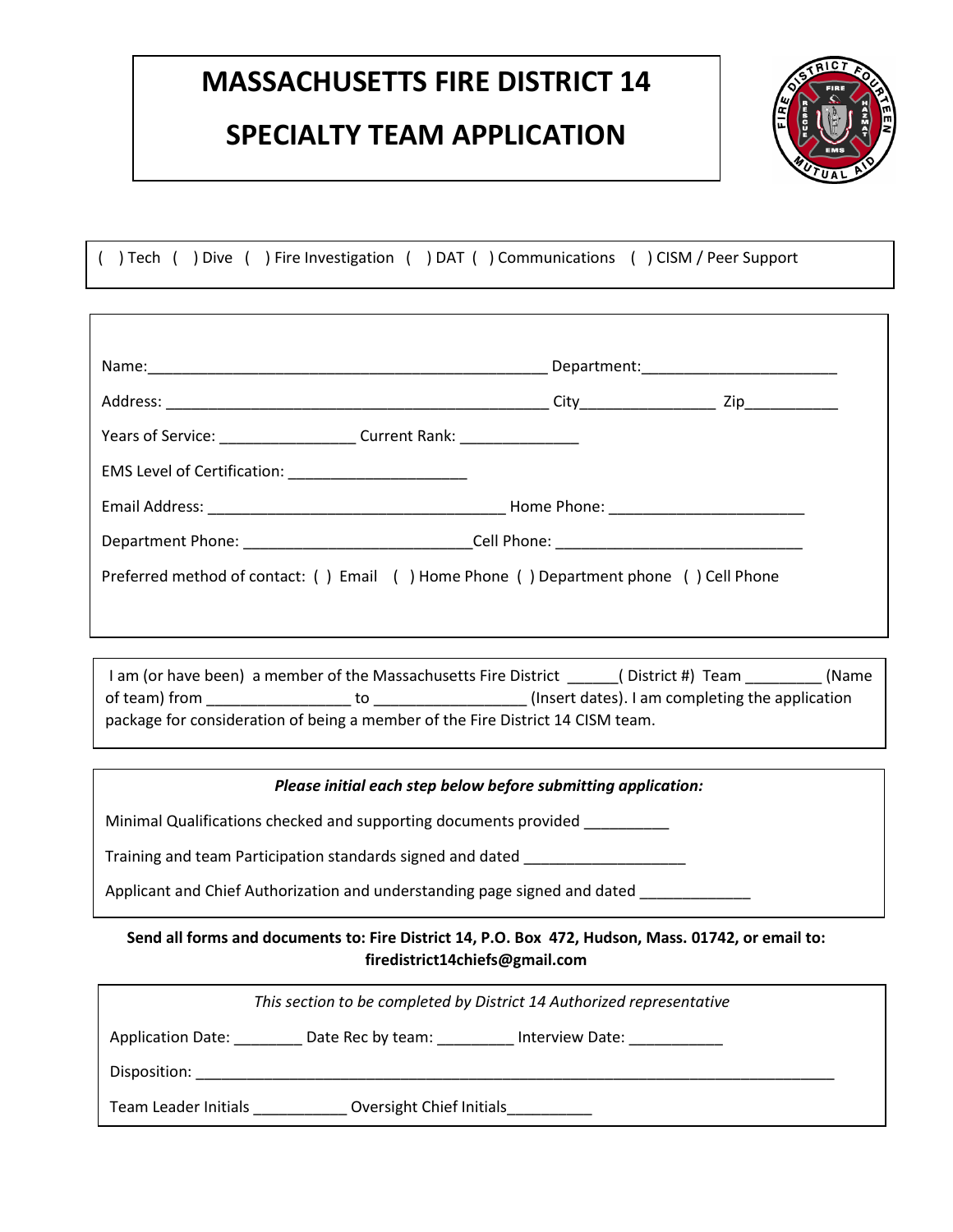### **SPECIALTY TEAM APPLICATION**



( ) Tech ( ) Dive ( ) Fire Investigation ( ) DAT ( ) Communications ( ) CISM / Peer Support

| Years of Service: ____________________________ Current Rank: ___________________      |  |
|---------------------------------------------------------------------------------------|--|
|                                                                                       |  |
|                                                                                       |  |
| Department Phone: __________________________________Cell Phone: _________________     |  |
| Preferred method of contact: () Email () Home Phone () Department phone () Cell Phone |  |
|                                                                                       |  |

I am (or have been) a member of the Massachusetts Fire District \_\_\_\_\_\_( District #) Team \_\_\_\_\_\_\_( Name of team) from \_\_\_\_\_\_\_\_\_\_\_\_\_\_\_\_\_ to \_\_\_\_\_\_\_\_\_\_\_\_\_\_\_\_\_\_ (Insert dates). I am completing the application package for consideration of being a member of the Fire District 14 CISM team.

#### *Please initial each step below before submitting application:*

Minimal Qualifications checked and supporting documents provided \_\_\_\_\_\_\_\_\_\_

Training and team Participation standards signed and dated \_\_\_\_\_\_\_\_\_\_\_\_\_\_\_\_\_\_\_\_\_

Applicant and Chief Authorization and understanding page signed and dated \_\_\_\_\_\_\_\_\_\_\_\_

#### **Send all forms and documents to: Fire District 14, P.O. Box 472, Hudson, Mass. 01742, or email to: firedistrict14chiefs@gmail.com**

| This section to be completed by District 14 Authorized representative |                   |                       |  |
|-----------------------------------------------------------------------|-------------------|-----------------------|--|
| <b>Application Date:</b>                                              | Date Rec by team: | Interview Date: _____ |  |
| Disposition:                                                          |                   |                       |  |
| Team Leader Initials<br>Oversight Chief Initials                      |                   |                       |  |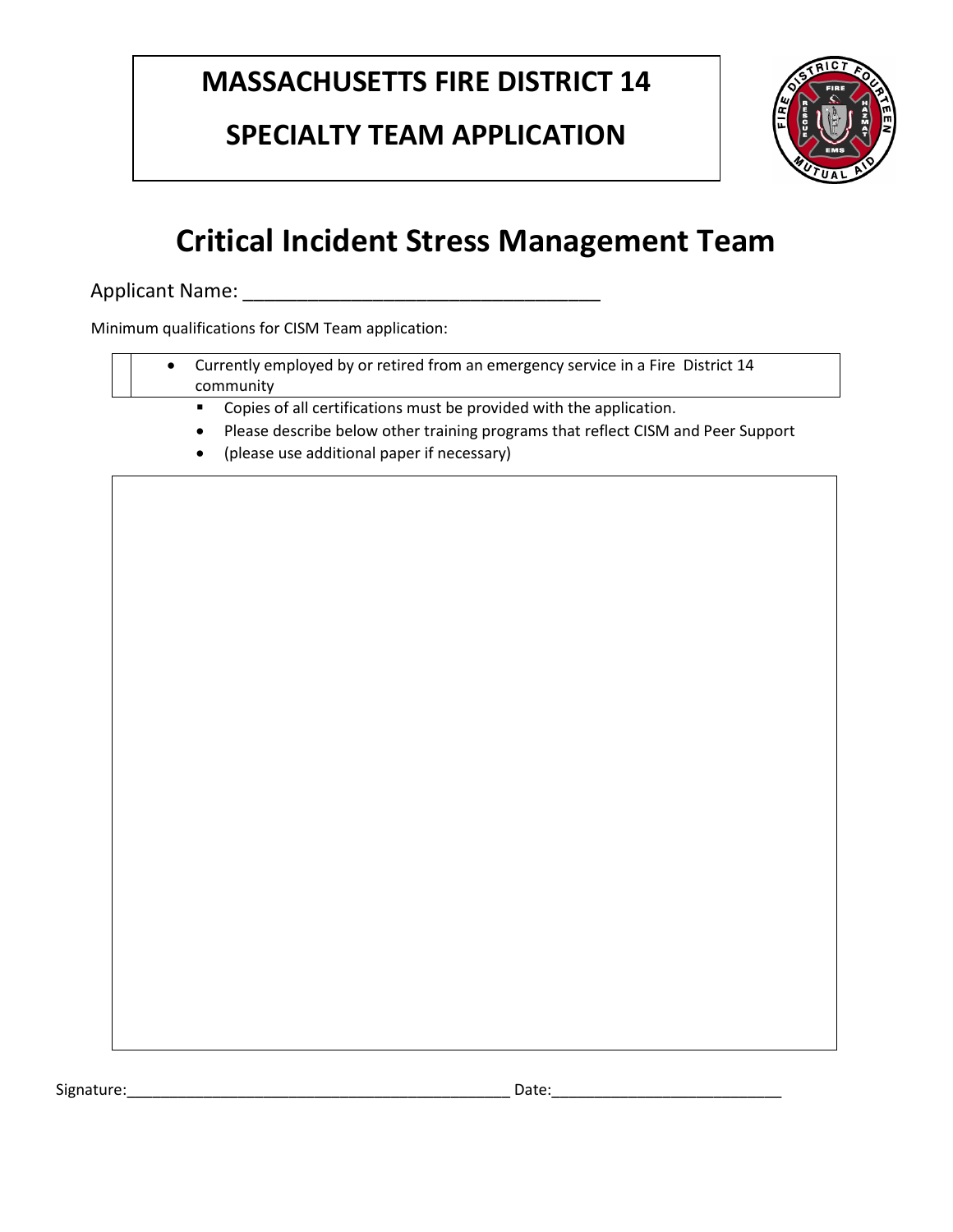## **SPECIALTY TEAM APPLICATION**



# **Critical Incident Stress Management Team**

Applicant Name: \_\_\_\_\_\_\_\_\_\_\_\_\_\_\_\_\_\_\_\_\_\_\_\_\_\_\_\_\_\_\_\_\_

Minimum qualifications for CISM Team application:

- Currently employed by or retired from an emergency service in a Fire District 14 community
	- Copies of all certifications must be provided with the application.
	- Please describe below other training programs that reflect CISM and Peer Support
	- (please use additional paper if necessary)

Signature:\_\_\_\_\_\_\_\_\_\_\_\_\_\_\_\_\_\_\_\_\_\_\_\_\_\_\_\_\_\_\_\_\_\_\_\_\_\_\_\_\_\_\_\_\_ Date:\_\_\_\_\_\_\_\_\_\_\_\_\_\_\_\_\_\_\_\_\_\_\_\_\_\_\_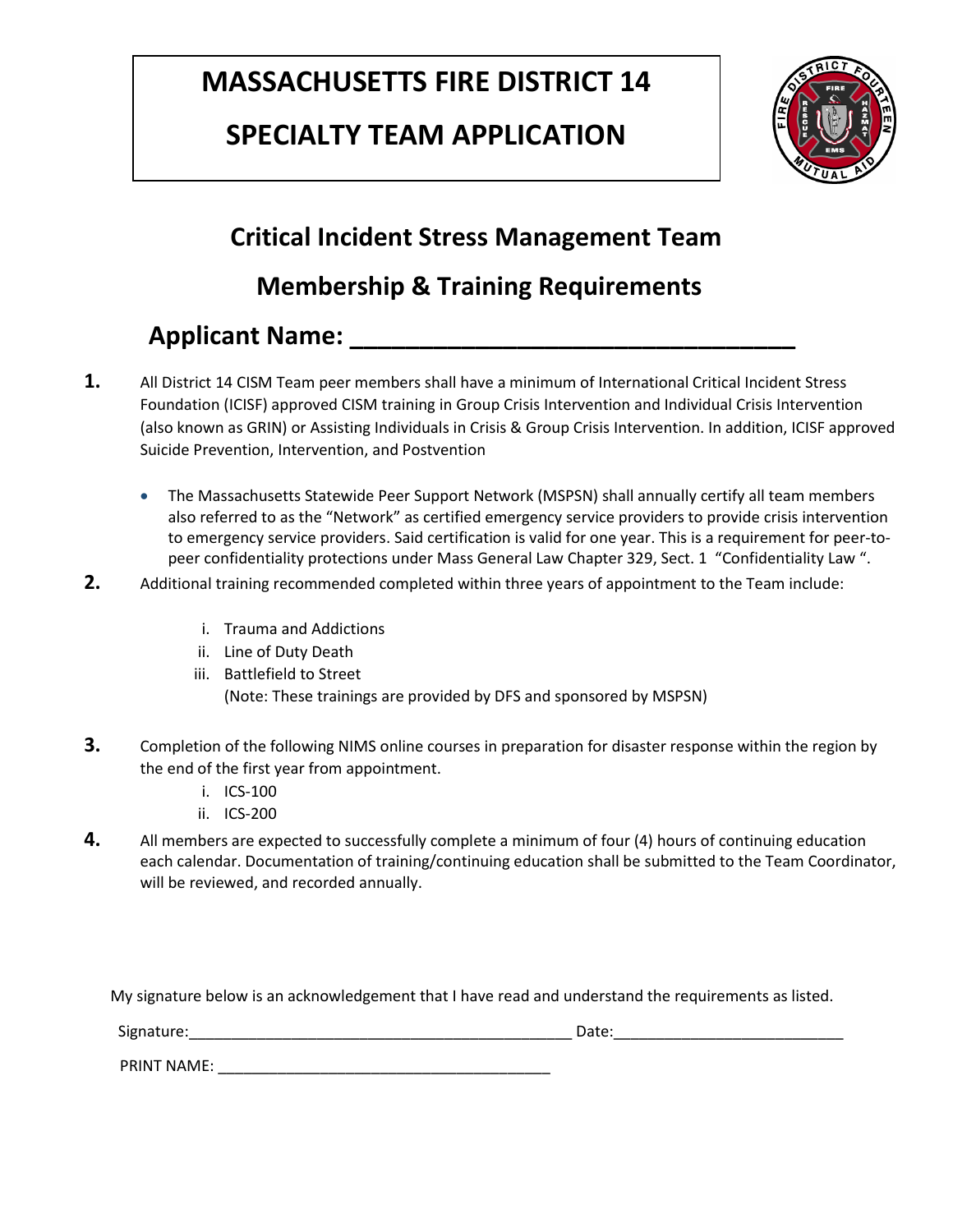### **SPECIALTY TEAM APPLICATION**



#### **Critical Incident Stress Management Team**

### **Membership & Training Requirements**

#### **Applicant Name:**  $\blacksquare$

- **1.** All District 14 CISM Team peer members shall have a minimum of International Critical Incident Stress Foundation (ICISF) approved CISM training in Group Crisis Intervention and Individual Crisis Intervention (also known as GRIN) or Assisting Individuals in Crisis & Group Crisis Intervention. In addition, ICISF approved Suicide Prevention, Intervention, and Postvention
	- The Massachusetts Statewide Peer Support Network (MSPSN) shall annually certify all team members also referred to as the "Network" as certified emergency service providers to provide crisis intervention to emergency service providers. Said certification is valid for one year. This is a requirement for peer-topeer confidentiality protections under Mass General Law Chapter 329, Sect. 1 "Confidentiality Law ".
- **2.** Additional training recommended completed within three years of appointment to the Team include:
	- i. Trauma and Addictions
	- ii. Line of Duty Death
	- iii. Battlefield to Street (Note: These trainings are provided by DFS and sponsored by MSPSN)
- **3.** Completion of the following NIMS online courses in preparation for disaster response within the region by the end of the first year from appointment.
	- i. ICS-100
	- ii. ICS-200
- **4.** All members are expected to successfully complete a minimum of four (4) hours of continuing education each calendar. Documentation of training/continuing education shall be submitted to the Team Coordinator, will be reviewed, and recorded annually.

My signature below is an acknowledgement that I have read and understand the requirements as listed.

Signature:\_\_\_\_\_\_\_\_\_\_\_\_\_\_\_\_\_\_\_\_\_\_\_\_\_\_\_\_\_\_\_\_\_\_\_\_\_\_\_\_\_\_\_\_\_ Date:\_\_\_\_\_\_\_\_\_\_\_\_\_\_\_\_\_\_\_\_\_\_\_\_\_\_\_

PRINT NAME: \_\_\_\_\_\_\_\_\_\_\_\_\_\_\_\_\_\_\_\_\_\_\_\_\_\_\_\_\_\_\_\_\_\_\_\_\_\_\_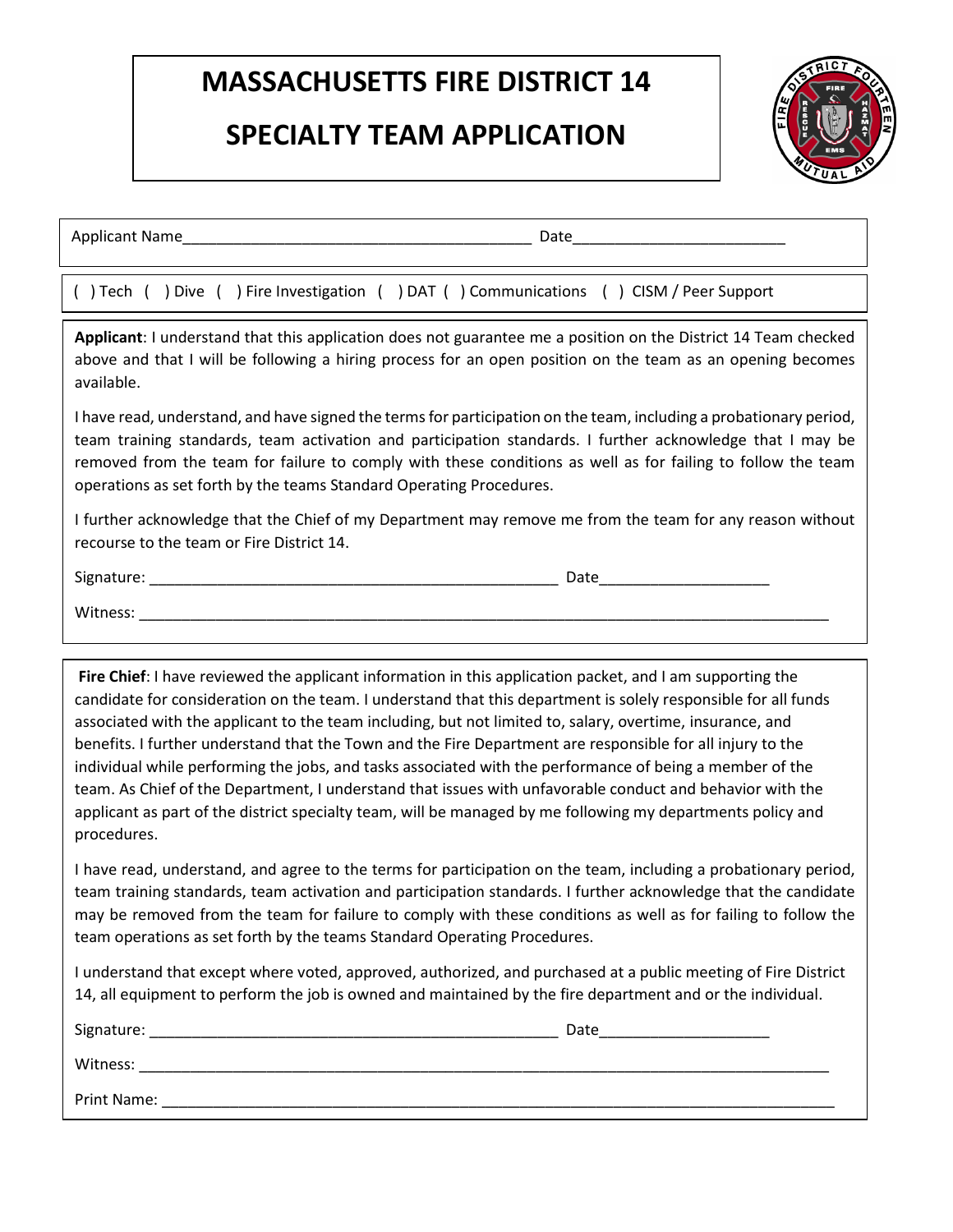### **SPECIALTY TEAM APPLICATION**



Applicant Name\_\_\_\_\_\_\_\_\_\_\_\_\_\_\_\_\_\_\_\_\_\_\_\_\_\_\_\_\_\_\_\_\_\_\_\_\_\_\_\_\_ Date\_\_\_\_\_\_\_\_\_\_\_\_\_\_\_\_\_\_\_\_\_\_\_\_\_

( ) Tech ( ) Dive ( ) Fire Investigation ( ) DAT ( ) Communications ( ) CISM / Peer Support

 **Applicant**: I understand that this application does not guarantee me a position on the District 14 Team checked above and that I will be following a hiring process for an open position on the team as an opening becomes available.

I have read, understand, and have signed the terms for participation on the team, including a probationary period, team training standards, team activation and participation standards. I further acknowledge that I may be removed from the team for failure to comply with these conditions as well as for failing to follow the team operations as set forth by the teams Standard Operating Procedures.

I further acknowledge that the Chief of my Department may remove me from the team for any reason without recourse to the team or Fire District 14.

Signature: \_\_\_\_\_\_\_\_\_\_\_\_\_\_\_\_\_\_\_\_\_\_\_\_\_\_\_\_\_\_\_\_\_\_\_\_\_\_\_\_\_\_\_\_\_\_\_\_ Date\_\_\_\_\_\_\_\_\_\_\_\_\_\_\_\_\_\_\_\_

Witness: \_\_\_\_\_\_\_\_\_\_\_\_\_\_\_\_\_\_\_\_\_\_\_\_\_\_\_\_\_\_\_\_\_\_\_\_\_\_\_\_\_\_\_\_\_\_\_\_\_\_\_\_\_\_\_\_\_\_\_\_\_\_\_\_\_\_\_\_\_\_\_\_\_\_\_\_\_\_\_\_\_

**Fire Chief**: I have reviewed the applicant information in this application packet, and I am supporting the candidate for consideration on the team. I understand that this department is solely responsible for all funds associated with the applicant to the team including, but not limited to, salary, overtime, insurance, and benefits. I further understand that the Town and the Fire Department are responsible for all injury to the individual while performing the jobs, and tasks associated with the performance of being a member of the team. As Chief of the Department, I understand that issues with unfavorable conduct and behavior with the applicant as part of the district specialty team, will be managed by me following my departments policy and procedures.

 $P$  recover  $\mathcal{P}_i$  . The state of the state of the state of the state of the state of the state of the state of the state of the state of the state of the state of the state of the state of the state of the state of th

I have read, understand, and agree to the terms for participation on the team, including a probationary period, team training standards, team activation and participation standards. I further acknowledge that the candidate may be removed from the team for failure to comply with these conditions as well as for failing to follow the team operations as set forth by the teams Standard Operating Procedures.

I understand that except where voted, approved, authorized, and purchased at a public meeting of Fire District 14, all equipment to perform the job is owned and maintained by the fire department and or the individual.

| Signature:  | Date |
|-------------|------|
| Witness:    |      |
| Print Name: |      |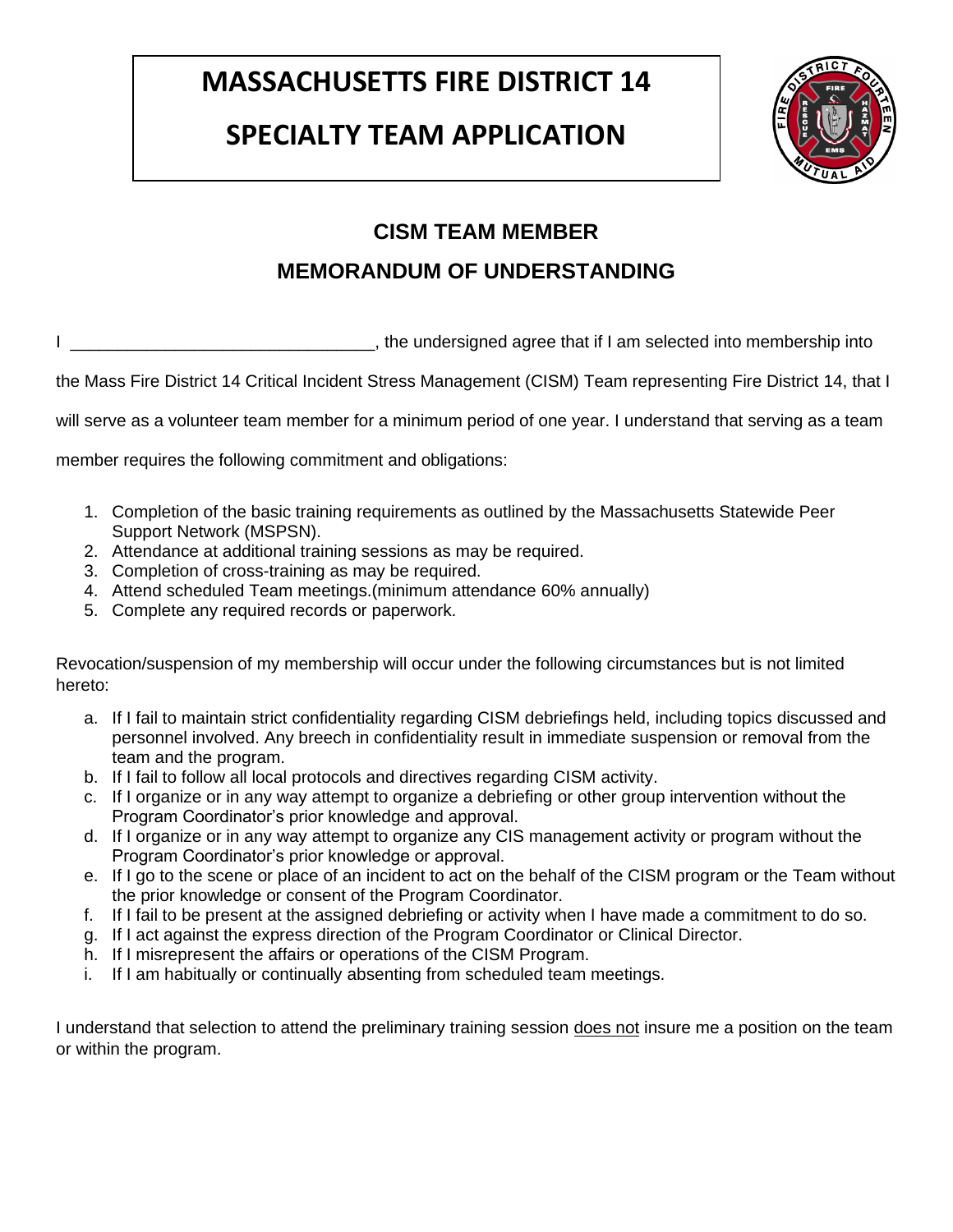### **SPECIALTY TEAM APPLICATION**



#### **CISM TEAM MEMBER**

#### **MEMORANDUM OF UNDERSTANDING**

I \_\_\_\_\_\_\_\_\_\_\_\_\_\_\_\_\_\_\_\_\_\_\_\_\_\_\_\_\_\_\_\_, the undersigned agree that if I am selected into membership into

the Mass Fire District 14 Critical Incident Stress Management (CISM) Team representing Fire District 14, that I

will serve as a volunteer team member for a minimum period of one year. I understand that serving as a team

member requires the following commitment and obligations:

- 1. Completion of the basic training requirements as outlined by the Massachusetts Statewide Peer Support Network (MSPSN).
- 2. Attendance at additional training sessions as may be required.
- 3. Completion of cross-training as may be required.
- 4. Attend scheduled Team meetings.(minimum attendance 60% annually)
- 5. Complete any required records or paperwork.

Revocation/suspension of my membership will occur under the following circumstances but is not limited hereto:

- a. If I fail to maintain strict confidentiality regarding CISM debriefings held, including topics discussed and personnel involved. Any breech in confidentiality result in immediate suspension or removal from the team and the program.
- b. If I fail to follow all local protocols and directives regarding CISM activity.
- c. If I organize or in any way attempt to organize a debriefing or other group intervention without the Program Coordinator's prior knowledge and approval.
- d. If I organize or in any way attempt to organize any CIS management activity or program without the Program Coordinator's prior knowledge or approval.
- e. If I go to the scene or place of an incident to act on the behalf of the CISM program or the Team without the prior knowledge or consent of the Program Coordinator.
- f. If I fail to be present at the assigned debriefing or activity when I have made a commitment to do so.
- g. If I act against the express direction of the Program Coordinator or Clinical Director.
- h. If I misrepresent the affairs or operations of the CISM Program.
- i. If I am habitually or continually absenting from scheduled team meetings.

I understand that selection to attend the preliminary training session does not insure me a position on the team or within the program.